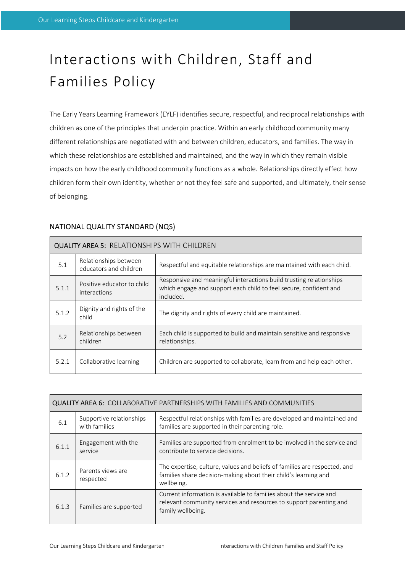# Interactions with Children, Staff and Families Policy

The Early Years Learning Framework (EYLF) identifies secure, respectful, and reciprocal relationships with children as one of the principles that underpin practice. Within an early childhood community many different relationships are negotiated with and between children, educators, and families. The way in which these relationships are established and maintained, and the way in which they remain visible impacts on how the early childhood community functions as a whole. Relationships directly effect how children form their own identity, whether or not they feel safe and supported, and ultimately, their sense of belonging.

| <b>QUALITY AREA 5: RELATIONSHIPS WITH CHILDREN</b> |                                                 |                                                                                                                                                       |  |  |  |
|----------------------------------------------------|-------------------------------------------------|-------------------------------------------------------------------------------------------------------------------------------------------------------|--|--|--|
| 5.1                                                | Relationships between<br>educators and children | Respectful and equitable relationships are maintained with each child.                                                                                |  |  |  |
| 5.1.1                                              | Positive educator to child<br>interactions      | Responsive and meaningful interactions build trusting relationships<br>which engage and support each child to feel secure, confident and<br>included. |  |  |  |
| 5.1.2                                              | Dignity and rights of the<br>child              | The dignity and rights of every child are maintained.                                                                                                 |  |  |  |
| 5.2                                                | Relationships between<br>children               | Each child is supported to build and maintain sensitive and responsive<br>relationships.                                                              |  |  |  |
| 5.2.1                                              | Collaborative learning                          | Children are supported to collaborate, learn from and help each other.                                                                                |  |  |  |

# NATIONAL QUALITY STANDARD (NQS)

| <b>QUALITY AREA 6: COLLABORATIVE PARTNERSHIPS WITH FAMILIES AND COMMUNITIES</b> |                                           |                                                                                                                                                               |  |  |  |
|---------------------------------------------------------------------------------|-------------------------------------------|---------------------------------------------------------------------------------------------------------------------------------------------------------------|--|--|--|
| 6.1                                                                             | Supportive relationships<br>with families | Respectful relationships with families are developed and maintained and<br>families are supported in their parenting role.                                    |  |  |  |
| 6.1.1                                                                           | Engagement with the<br>service            | Families are supported from enrolment to be involved in the service and<br>contribute to service decisions.                                                   |  |  |  |
| 6.1.2                                                                           | Parents views are<br>respected            | The expertise, culture, values and beliefs of families are respected, and<br>families share decision-making about their child's learning and<br>wellbeing.    |  |  |  |
| 6.1.3                                                                           | Families are supported                    | Current information is available to families about the service and<br>relevant community services and resources to support parenting and<br>family wellbeing. |  |  |  |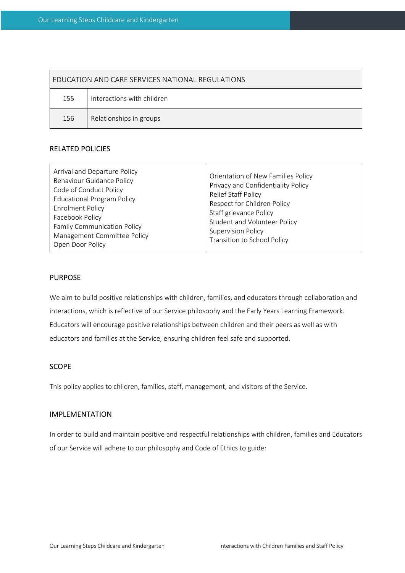| <b>FDUCATION AND CARE SERVICES NATIONAL REGULATIONS</b> |                            |  |  |  |  |
|---------------------------------------------------------|----------------------------|--|--|--|--|
| 155                                                     | Interactions with children |  |  |  |  |
| 156                                                     | Relationships in groups    |  |  |  |  |

#### RELATED POLICIES

| Arrival and Departure Policy<br><b>Behaviour Guidance Policy</b><br>Code of Conduct Policy<br><b>Educational Program Policy</b><br><b>Enrolment Policy</b><br>Facebook Policy<br><b>Family Communication Policy</b><br>Management Committee Policy<br>Open Door Policy | Orientation of New Families Policy<br>Privacy and Confidentiality Policy<br><b>Relief Staff Policy</b><br>Respect for Children Policy<br>Staff grievance Policy<br>Student and Volunteer Policy<br><b>Supervision Policy</b><br>Transition to School Policy |
|------------------------------------------------------------------------------------------------------------------------------------------------------------------------------------------------------------------------------------------------------------------------|-------------------------------------------------------------------------------------------------------------------------------------------------------------------------------------------------------------------------------------------------------------|
|------------------------------------------------------------------------------------------------------------------------------------------------------------------------------------------------------------------------------------------------------------------------|-------------------------------------------------------------------------------------------------------------------------------------------------------------------------------------------------------------------------------------------------------------|

#### PURPOSE

We aim to build positive relationships with children, families, and educators through collaboration and interactions, which is reflective of our Service philosophy and the Early Years Learning Framework. Educators will encourage positive relationships between children and their peers as well as with educators and families at the Service, ensuring children feel safe and supported.

#### SCOPE

This policy applies to children, families, staff, management, and visitors of the Service.

# IMPLEMENTATION

In order to build and maintain positive and respectful relationships with children, families and Educators of our Service will adhere to our philosophy and Code of Ethics to guide: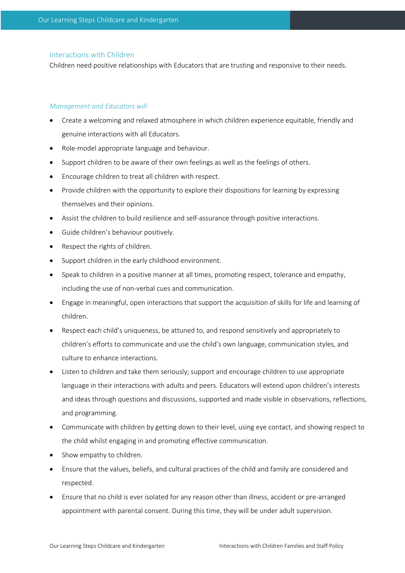#### Interactions with Children

Children need positive relationships with Educators that are trusting and responsive to their needs.

#### *Management and Educators will:*

- Create a welcoming and relaxed atmosphere in which children experience equitable, friendly and genuine interactions with all Educators.
- Role-model appropriate language and behaviour.
- Support children to be aware of their own feelings as well as the feelings of others.
- Encourage children to treat all children with respect.
- Provide children with the opportunity to explore their dispositions for learning by expressing themselves and their opinions.
- Assist the children to build resilience and self-assurance through positive interactions.
- Guide children's behaviour positively.
- Respect the rights of children.
- Support children in the early childhood environment.
- Speak to children in a positive manner at all times, promoting respect, tolerance and empathy, including the use of non-verbal cues and communication.
- Engage in meaningful, open interactions that support the acquisition of skills for life and learning of children.
- Respect each child's uniqueness, be attuned to, and respond sensitively and appropriately to children's efforts to communicate and use the child's own language, communication styles, and culture to enhance interactions.
- Listen to children and take them seriously; support and encourage children to use appropriate language in their interactions with adults and peers. Educators will extend upon children's interests and ideas through questions and discussions, supported and made visible in observations, reflections, and programming.
- Communicate with children by getting down to their level, using eye contact, and showing respect to the child whilst engaging in and promoting effective communication.
- Show empathy to children.
- Ensure that the values, beliefs, and cultural practices of the child and family are considered and respected.
- Ensure that no child is ever isolated for any reason other than illness, accident or pre-arranged appointment with parental consent. During this time, they will be under adult supervision.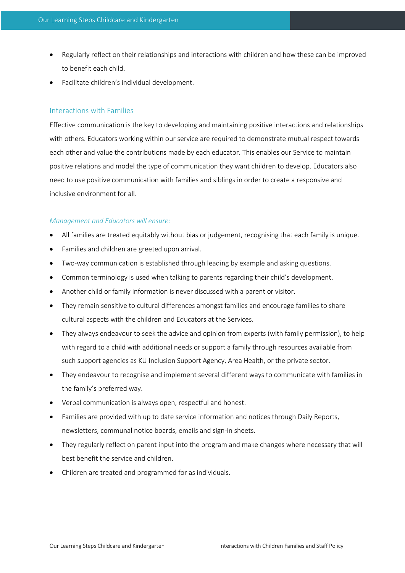- Regularly reflect on their relationships and interactions with children and how these can be improved to benefit each child.
- Facilitate children's individual development.

#### Interactions with Families

Effective communication is the key to developing and maintaining positive interactions and relationships with others. Educators working within our service are required to demonstrate mutual respect towards each other and value the contributions made by each educator. This enables our Service to maintain positive relations and model the type of communication they want children to develop. Educators also need to use positive communication with families and siblings in order to create a responsive and inclusive environment for all.

## *Management and Educators will ensure:*

- All families are treated equitably without bias or judgement, recognising that each family is unique.
- Families and children are greeted upon arrival.
- Two-way communication is established through leading by example and asking questions.
- Common terminology is used when talking to parents regarding their child's development.
- Another child or family information is never discussed with a parent or visitor.
- They remain sensitive to cultural differences amongst families and encourage families to share cultural aspects with the children and Educators at the Services.
- They always endeavour to seek the advice and opinion from experts (with family permission), to help with regard to a child with additional needs or support a family through resources available from such support agencies as KU Inclusion Support Agency, Area Health, or the private sector.
- They endeavour to recognise and implement several different ways to communicate with families in the family's preferred way.
- Verbal communication is always open, respectful and honest.
- Families are provided with up to date service information and notices through Daily Reports, newsletters, communal notice boards, emails and sign-in sheets.
- They regularly reflect on parent input into the program and make changes where necessary that will best benefit the service and children.
- Children are treated and programmed for as individuals.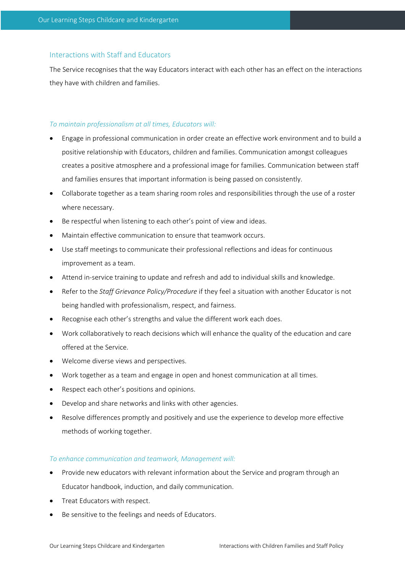# Interactions with Staff and Educators

The Service recognises that the way Educators interact with each other has an effect on the interactions they have with children and families.

## *To maintain professionalism at all times, Educators will:*

- Engage in professional communication in order create an effective work environment and to build a positive relationship with Educators, children and families. Communication amongst colleagues creates a positive atmosphere and a professional image for families. Communication between staff and families ensures that important information is being passed on consistently.
- Collaborate together as a team sharing room roles and responsibilities through the use of a roster where necessary.
- Be respectful when listening to each other's point of view and ideas.
- Maintain effective communication to ensure that teamwork occurs.
- Use staff meetings to communicate their professional reflections and ideas for continuous improvement as a team.
- Attend in-service training to update and refresh and add to individual skills and knowledge.
- Refer to the *Staff Grievance Policy/Procedure* if they feel a situation with another Educator is not being handled with professionalism, respect, and fairness.
- Recognise each other's strengths and value the different work each does.
- Work collaboratively to reach decisions which will enhance the quality of the education and care offered at the Service.
- Welcome diverse views and perspectives.
- Work together as a team and engage in open and honest communication at all times.
- Respect each other's positions and opinions.
- Develop and share networks and links with other agencies.
- Resolve differences promptly and positively and use the experience to develop more effective methods of working together.

## *To enhance communication and teamwork, Management will:*

- Provide new educators with relevant information about the Service and program through an Educator handbook, induction, and daily communication.
- Treat Educators with respect.
- Be sensitive to the feelings and needs of Educators.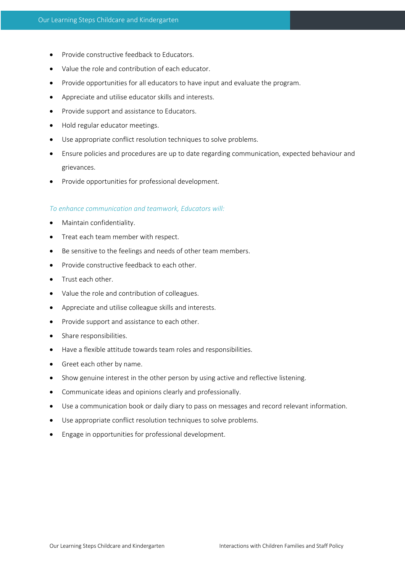- Provide constructive feedback to Educators.
- Value the role and contribution of each educator.
- Provide opportunities for all educators to have input and evaluate the program.
- Appreciate and utilise educator skills and interests.
- Provide support and assistance to Educators.
- Hold regular educator meetings.
- Use appropriate conflict resolution techniques to solve problems.
- Ensure policies and procedures are up to date regarding communication, expected behaviour and grievances.
- Provide opportunities for professional development.

#### *To enhance communication and teamwork, Educators will:*

- Maintain confidentiality.
- Treat each team member with respect.
- Be sensitive to the feelings and needs of other team members.
- Provide constructive feedback to each other.
- Trust each other.
- Value the role and contribution of colleagues.
- Appreciate and utilise colleague skills and interests.
- Provide support and assistance to each other.
- Share responsibilities.
- Have a flexible attitude towards team roles and responsibilities.
- Greet each other by name.
- Show genuine interest in the other person by using active and reflective listening.
- Communicate ideas and opinions clearly and professionally.
- Use a communication book or daily diary to pass on messages and record relevant information.
- Use appropriate conflict resolution techniques to solve problems.
- Engage in opportunities for professional development.